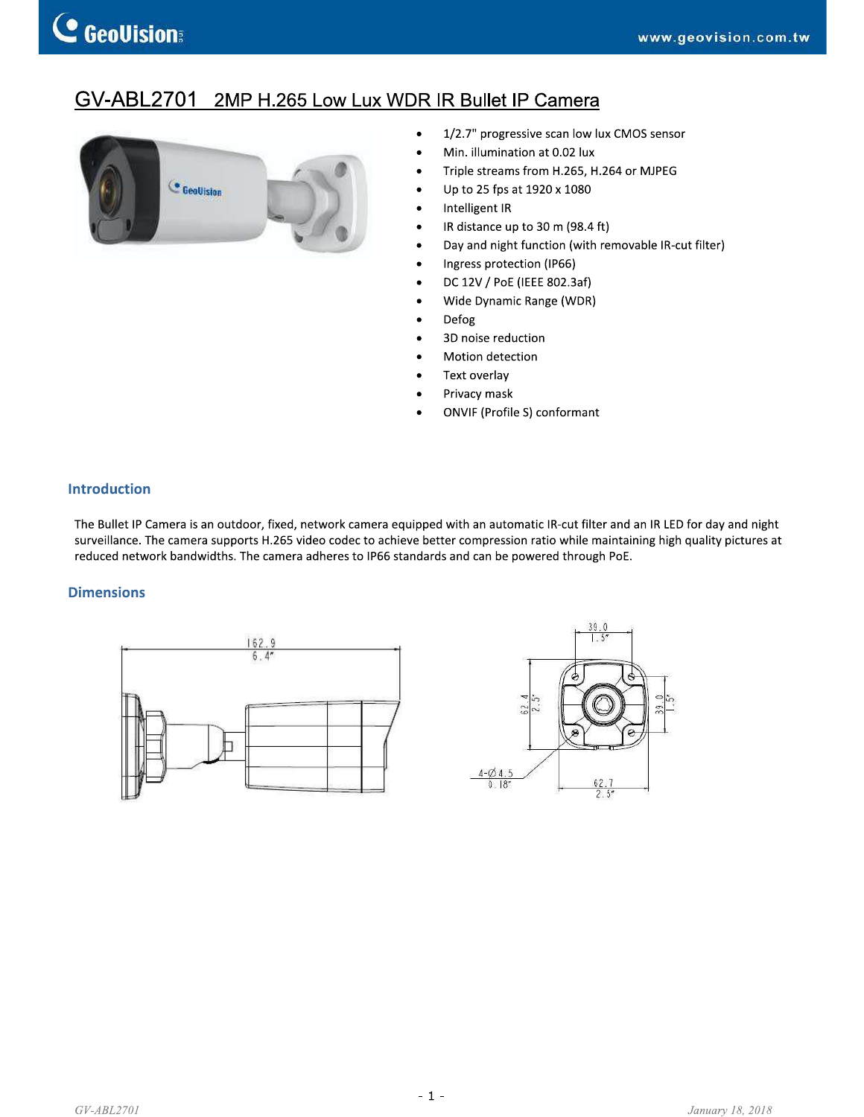# GV-ABL2701 2MP H.265 Low Lux WDR IR Bullet IP Camera



- 1/2.7" progressive scan low lux CMOS sensor  $\bullet$
- Min. illumination at 0.02 lux
- Triple streams from H.265, H.264 or MJPEG
- Up to 25 fps at 1920 x 1080
- Intelligent IR
- IR distance up to 30 m (98.4 ft)
- Day and night function (with removable IR-cut filter)

 $\frac{39.0}{1.5}$ 

- Ingress protection (IP66)
- DC 12V / PoE (IEEE 802.3af)
	- Wide Dynamic Range (WDR)
- Defog
- 3D noise reduction
- Motion detection
- Text overlay
- Privacy mask
- **ONVIF (Profile S) conformant**

### **Introduction**

The Bullet IP Camera is an outdoor, fixed, network camera equipped with an automatic IR-cut filter and an IR LED for day and night surveillance. The camera supports H.265 video codec to achieve better compression ratio while maintaining high quality pictures at reduced network bandwidths. The camera adheres to IP66 standards and can be powered through PoE.

### **Dimensions**

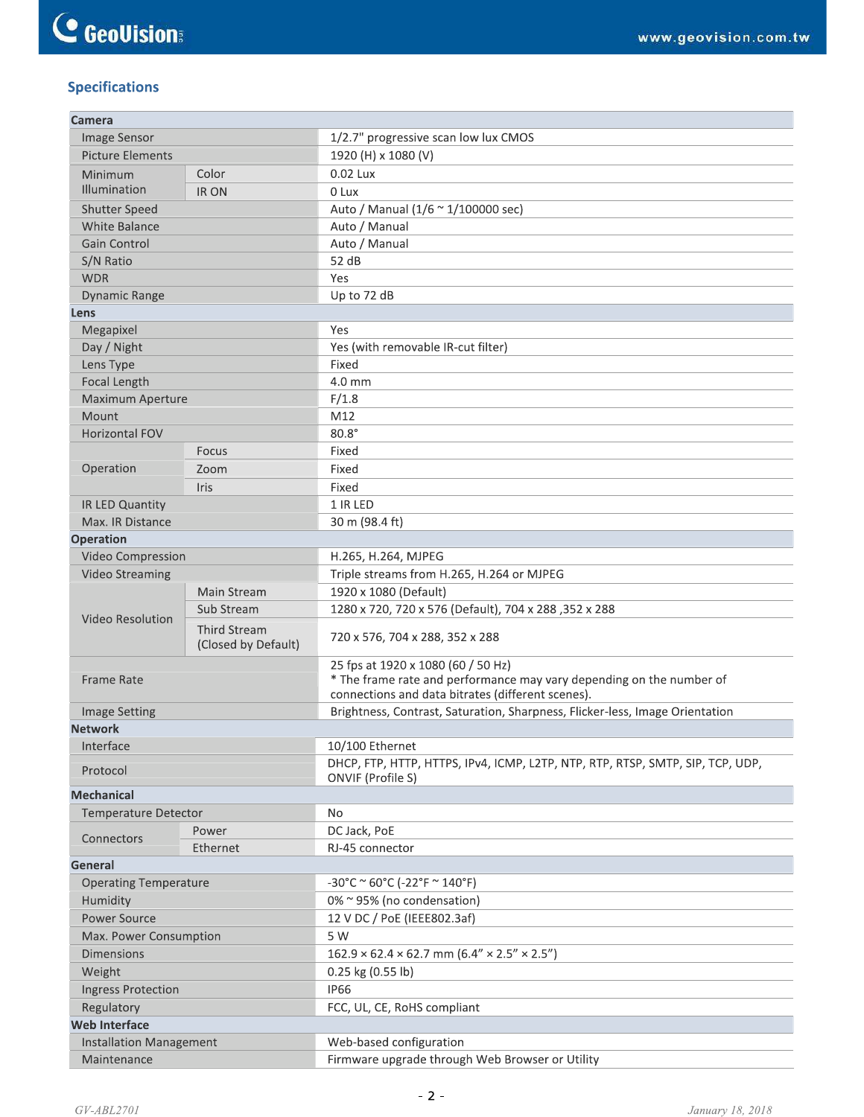## **Specifications**

| Camera                       |                     |                                                                                                                                                                 |  |  |
|------------------------------|---------------------|-----------------------------------------------------------------------------------------------------------------------------------------------------------------|--|--|
| Image Sensor                 |                     | 1/2.7" progressive scan low lux CMOS                                                                                                                            |  |  |
| <b>Picture Elements</b>      |                     | 1920 (H) x 1080 (V)                                                                                                                                             |  |  |
| Minimum                      | Color               | 0.02 Lux                                                                                                                                                        |  |  |
| Illumination                 | <b>IR ON</b>        | 0 Lux                                                                                                                                                           |  |  |
| <b>Shutter Speed</b>         |                     | Auto / Manual (1/6 ~ 1/100000 sec)                                                                                                                              |  |  |
| <b>White Balance</b>         |                     | Auto / Manual                                                                                                                                                   |  |  |
| Gain Control                 |                     | Auto / Manual                                                                                                                                                   |  |  |
| S/N Ratio                    |                     | 52 dB                                                                                                                                                           |  |  |
| <b>WDR</b>                   |                     | Yes                                                                                                                                                             |  |  |
| <b>Dynamic Range</b>         |                     | Up to 72 dB                                                                                                                                                     |  |  |
| Lens                         |                     |                                                                                                                                                                 |  |  |
| Megapixel                    |                     | Yes                                                                                                                                                             |  |  |
| Day / Night                  |                     | Yes (with removable IR-cut filter)                                                                                                                              |  |  |
| Lens Type                    |                     | Fixed                                                                                                                                                           |  |  |
| Focal Length                 |                     | 4.0 mm                                                                                                                                                          |  |  |
| Maximum Aperture             |                     | F/1.8                                                                                                                                                           |  |  |
| Mount                        |                     | M12                                                                                                                                                             |  |  |
| <b>Horizontal FOV</b>        |                     | $80.8^\circ$                                                                                                                                                    |  |  |
|                              | Focus               | Fixed                                                                                                                                                           |  |  |
| Operation                    | Zoom                | Fixed                                                                                                                                                           |  |  |
|                              | Iris                | Fixed                                                                                                                                                           |  |  |
| IR LED Quantity              |                     | 1 IR LED                                                                                                                                                        |  |  |
| Max. IR Distance             |                     | 30 m (98.4 ft)                                                                                                                                                  |  |  |
| <b>Operation</b>             |                     |                                                                                                                                                                 |  |  |
| Video Compression            |                     | H.265, H.264, MJPEG                                                                                                                                             |  |  |
| <b>Video Streaming</b>       |                     | Triple streams from H.265, H.264 or MJPEG                                                                                                                       |  |  |
|                              | Main Stream         | 1920 x 1080 (Default)                                                                                                                                           |  |  |
| Video Resolution             | Sub Stream          | 1280 x 720, 720 x 576 (Default), 704 x 288, 352 x 288                                                                                                           |  |  |
|                              | <b>Third Stream</b> | 720 x 576, 704 x 288, 352 x 288                                                                                                                                 |  |  |
|                              | (Closed by Default) |                                                                                                                                                                 |  |  |
| <b>Frame Rate</b>            |                     | 25 fps at 1920 x 1080 (60 / 50 Hz)<br>* The frame rate and performance may vary depending on the number of<br>connections and data bitrates (different scenes). |  |  |
| <b>Image Setting</b>         |                     | Brightness, Contrast, Saturation, Sharpness, Flicker-less, Image Orientation                                                                                    |  |  |
| <b>Network</b>               |                     |                                                                                                                                                                 |  |  |
|                              |                     | 10/100 Ethernet                                                                                                                                                 |  |  |
| Interface<br>Protocol        |                     | DHCP, FTP, HTTP, HTTPS, IPv4, ICMP, L2TP, NTP, RTP, RTSP, SMTP, SIP, TCP, UDP,<br>ONVIF (Profile S)                                                             |  |  |
| <b>Mechanical</b>            |                     |                                                                                                                                                                 |  |  |
| <b>Temperature Detector</b>  |                     | No                                                                                                                                                              |  |  |
|                              | Power               | DC Jack, PoE                                                                                                                                                    |  |  |
| Connectors                   | Ethernet            | RJ-45 connector                                                                                                                                                 |  |  |
| General                      |                     |                                                                                                                                                                 |  |  |
| <b>Operating Temperature</b> |                     | $-30^{\circ}$ C ~ 60°C (-22°F ~ 140°F)                                                                                                                          |  |  |
| Humidity                     |                     | 0% ~ 95% (no condensation)                                                                                                                                      |  |  |
| <b>Power Source</b>          |                     | 12 V DC / PoE (IEEE802.3af)                                                                                                                                     |  |  |
| Max. Power Consumption       |                     | 5 W                                                                                                                                                             |  |  |
| <b>Dimensions</b>            |                     | $162.9 \times 62.4 \times 62.7$ mm $(6.4'' \times 2.5'' \times 2.5'')$                                                                                          |  |  |
|                              |                     |                                                                                                                                                                 |  |  |
| Weight                       |                     | 0.25 kg (0.55 lb)<br><b>IP66</b>                                                                                                                                |  |  |
| <b>Ingress Protection</b>    |                     |                                                                                                                                                                 |  |  |
| Regulatory                   |                     | FCC, UL, CE, RoHS compliant                                                                                                                                     |  |  |
| <b>Web Interface</b>         |                     |                                                                                                                                                                 |  |  |
| Installation Management      |                     | Web-based configuration                                                                                                                                         |  |  |
| Maintenance                  |                     | Firmware upgrade through Web Browser or Utility                                                                                                                 |  |  |